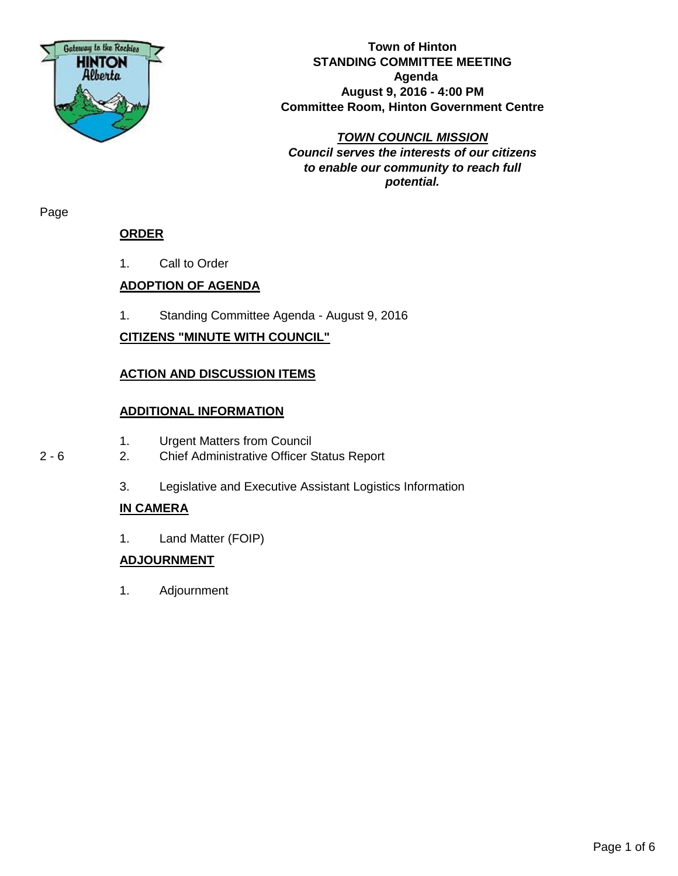

**Town of Hinton STANDING COMMITTEE MEETING Agenda August 9, 2016 - 4:00 PM Committee Room, Hinton Government Centre**

*TOWN COUNCIL MISSION Council serves the interests of our citizens to enable our community to reach full potential.*

Page

# **ORDER**

1. Call to Order

# **ADOPTION OF AGENDA**

1. Standing Committee Agenda - August 9, 2016

# **CITIZENS "MINUTE WITH COUNCIL"**

# **ACTION AND DISCUSSION ITEMS**

### **ADDITIONAL INFORMATION**

- 1. Urgent Matters from Council
- 2 6 2. Chief Administrative Officer Status Report
	- 3. Legislative and Executive Assistant Logistics Information

# **IN CAMERA**

1. Land Matter (FOIP)

# **ADJOURNMENT**

1. Adjournment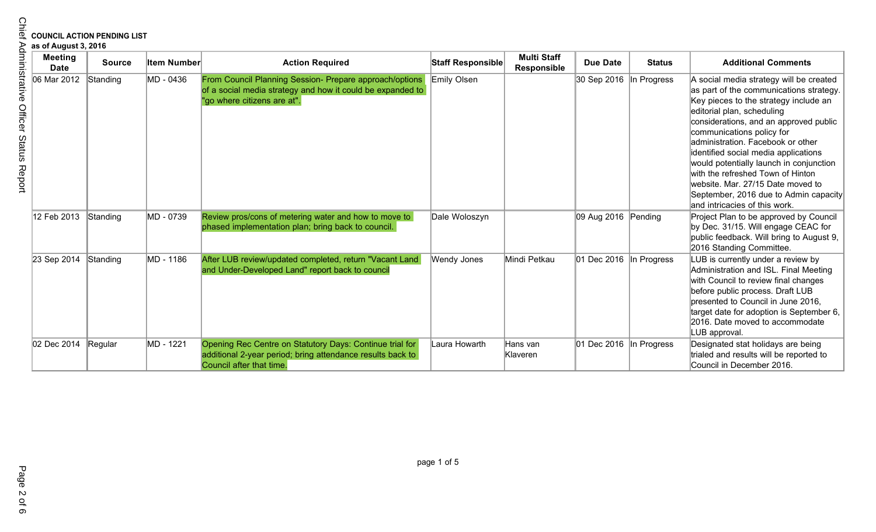# **COUNCIL ACTION PENDING LIST**

| <b>COUNCIL ACTION PENDING LIST</b><br>as of August 3, 2016 |                               |               |                    |                                                                                                                                                      |                    |                                   |                                        |               |                                                                                                                                                                                                                                                                                                                                                                                                                                                                                                              |
|------------------------------------------------------------|-------------------------------|---------------|--------------------|------------------------------------------------------------------------------------------------------------------------------------------------------|--------------------|-----------------------------------|----------------------------------------|---------------|--------------------------------------------------------------------------------------------------------------------------------------------------------------------------------------------------------------------------------------------------------------------------------------------------------------------------------------------------------------------------------------------------------------------------------------------------------------------------------------------------------------|
| Adminis                                                    | <b>Meeting</b><br><b>Date</b> | <b>Source</b> | <b>Item Number</b> | <b>Action Required</b>                                                                                                                               | Staff Responsible  | <b>Multi Staff</b><br>Responsible | <b>Due Date</b>                        | <b>Status</b> | <b>Additional Comments</b>                                                                                                                                                                                                                                                                                                                                                                                                                                                                                   |
| trative<br>Officer Status<br>Report                        | 06 Mar 2012                   | Standing      | MD - 0436          | From Council Planning Session- Prepare approach/options<br>of a social media strategy and how it could be expanded to<br>"go where citizens are at". | Emily Olsen        |                                   | 30 Sep 2016 In Progress                |               | A social media strategy will be created<br>as part of the communications strategy.<br>Key pieces to the strategy include an<br>editorial plan, scheduling<br>considerations, and an approved public<br>communications policy for<br>administration. Facebook or other<br>identified social media applications<br>would potentially launch in conjunction<br>with the refreshed Town of Hinton<br>website. Mar. 27/15 Date moved to<br>September, 2016 due to Admin capacity<br>and intricacies of this work. |
|                                                            | 12 Feb 2013                   | Standing      | MD - 0739          | Review pros/cons of metering water and how to move to<br>phased implementation plan; bring back to council.                                          | Dale Woloszyn      |                                   | 09 Aug 2016 Pending                    |               | Project Plan to be approved by Council<br>by Dec. 31/15. Will engage CEAC for<br>public feedback. Will bring to August 9,<br>2016 Standing Committee.                                                                                                                                                                                                                                                                                                                                                        |
|                                                            | 23 Sep 2014                   | Standing      | MD - 1186          | After LUB review/updated completed, return "Vacant Land<br>and Under-Developed Land" report back to council                                          | <b>Wendy Jones</b> | Mindi Petkau                      | $ 01 \rangle$ Dec 2016 $ $ In Progress |               | LUB is currently under a review by<br>Administration and ISL. Final Meeting<br>with Council to review final changes<br>before public process. Draft LUB<br>presented to Council in June 2016.<br>target date for adoption is September 6,<br>2016. Date moved to accommodate<br>LUB approval.                                                                                                                                                                                                                |
|                                                            | 02 Dec 2014                   | Regular       | MD - 1221          | Opening Rec Centre on Statutory Days: Continue trial for<br>additional 2-year period; bring attendance results back to<br>Council after that time.   | Laura Howarth      | Hans van<br>Klaveren              | 01 Dec 2016 In Progress                |               | Designated stat holidays are being<br>trialed and results will be reported to<br>Council in December 2016.                                                                                                                                                                                                                                                                                                                                                                                                   |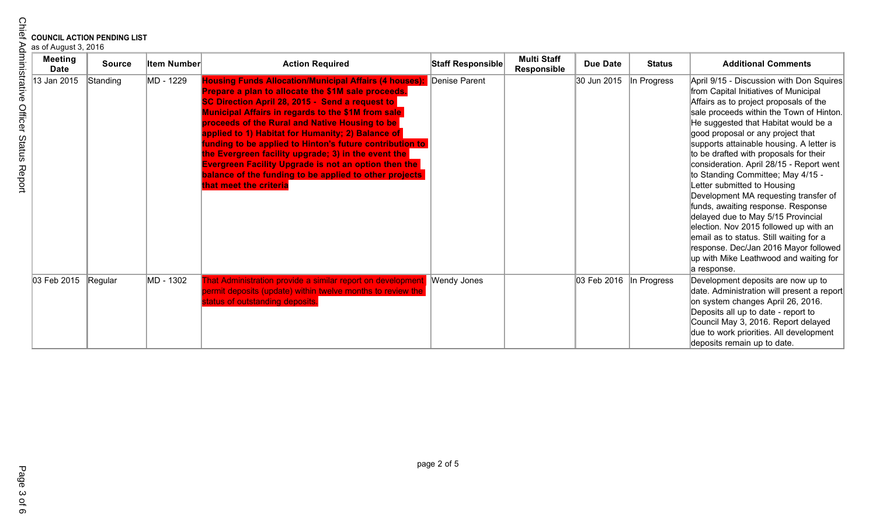| as of August 3, 2016 |  |
|----------------------|--|
|----------------------|--|

| <b>Meeting</b><br><b>Date</b> | <b>Source</b> | <b>Item Number</b> | <b>Action Required</b>                                                                                                                                                                                                                                                                                                                                                                                                                                                                                                                                                                                    | Staff Responsible | <b>Multi Staff</b><br>Responsible | <b>Due Date</b> | <b>Status</b> | <b>Additional Comments</b>                                                                                                                                                                                                                                                                                                                                                                                                                                                                                                                                                                                                                                                                                                                                             |
|-------------------------------|---------------|--------------------|-----------------------------------------------------------------------------------------------------------------------------------------------------------------------------------------------------------------------------------------------------------------------------------------------------------------------------------------------------------------------------------------------------------------------------------------------------------------------------------------------------------------------------------------------------------------------------------------------------------|-------------------|-----------------------------------|-----------------|---------------|------------------------------------------------------------------------------------------------------------------------------------------------------------------------------------------------------------------------------------------------------------------------------------------------------------------------------------------------------------------------------------------------------------------------------------------------------------------------------------------------------------------------------------------------------------------------------------------------------------------------------------------------------------------------------------------------------------------------------------------------------------------------|
| 13 Jan 2015                   | Standing      | MD - 1229          | <b>Housing Funds Allocation/Municipal Affairs (4 houses):</b><br>Prepare a plan to allocate the \$1M sale proceeds.<br>SC Direction April 28, 2015 - Send a request to<br>Municipal Affairs in regards to the \$1M from sale<br>proceeds of the Rural and Native Housing to be<br>applied to 1) Habitat for Humanity; 2) Balance of<br>funding to be applied to Hinton's future contribution to<br>the Evergreen facility upgrade; 3) in the event the<br><b>Evergreen Facility Upgrade is not an option then the</b><br>balance of the funding to be applied to other projects<br>that meet the criteria | Denise Parent     |                                   | 30 Jun 2015     | In Progress   | April 9/15 - Discussion with Don Squires<br>from Capital Initiatives of Municipal<br>Affairs as to project proposals of the<br>sale proceeds within the Town of Hinton.<br>He suggested that Habitat would be a<br>good proposal or any project that<br>supports attainable housing. A letter is<br>to be drafted with proposals for their<br>consideration. April 28/15 - Report went<br>to Standing Committee; May 4/15 -<br>Letter submitted to Housing<br>Development MA requesting transfer of<br>funds, awaiting response. Response<br>delayed due to May 5/15 Provincial<br>election. Nov 2015 followed up with an<br>email as to status. Still waiting for a<br>response. Dec/Jan 2016 Mayor followed<br>up with Mike Leathwood and waiting for<br>a response. |
| 03 Feb 2015                   | Regular       | MD - 1302          | That Administration provide a similar report on development Wendy Jones<br>bermit deposits (update) within twelve months to review the<br>tatus of outstanding deposits.                                                                                                                                                                                                                                                                                                                                                                                                                                  |                   |                                   | 03 Feb 2016     | In Progress   | Development deposits are now up to<br>date. Administration will present a report<br>on system changes April 26, 2016.<br>Deposits all up to date - report to<br>Council May 3, 2016. Report delayed<br>due to work priorities. All development<br>deposits remain up to date.                                                                                                                                                                                                                                                                                                                                                                                                                                                                                          |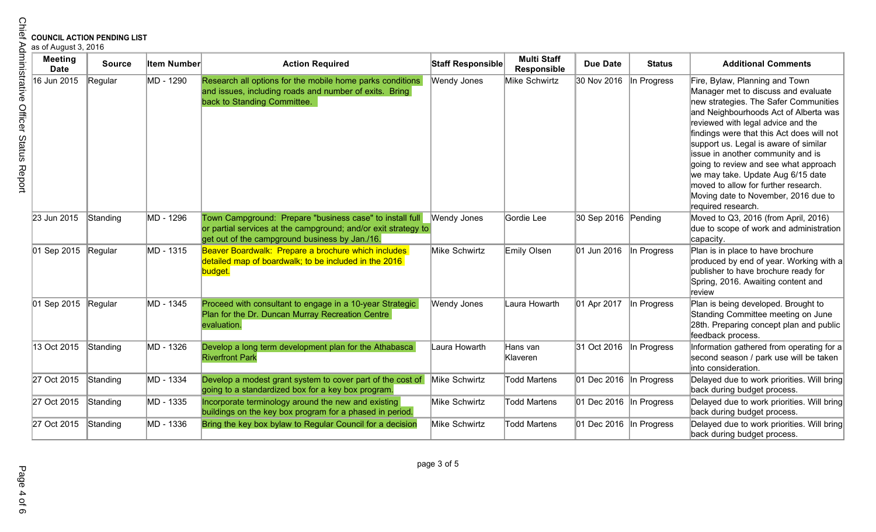| <b>Chief</b>                         |                               | <b>COUNCIL ACTION PENDING LIST</b><br>as of August 3, 2016 |                    |                                                                                                                                                                              |                    |                                   |                                |               |                                                                                                                                                                                                                                                                                                                                                                                                                                                                                                              |  |  |
|--------------------------------------|-------------------------------|------------------------------------------------------------|--------------------|------------------------------------------------------------------------------------------------------------------------------------------------------------------------------|--------------------|-----------------------------------|--------------------------------|---------------|--------------------------------------------------------------------------------------------------------------------------------------------------------------------------------------------------------------------------------------------------------------------------------------------------------------------------------------------------------------------------------------------------------------------------------------------------------------------------------------------------------------|--|--|
|                                      | <b>Meeting</b><br><b>Date</b> | <b>Source</b>                                              | <b>Item Number</b> | <b>Action Required</b>                                                                                                                                                       | Staff Responsible  | <b>Multi Staff</b><br>Responsible | <b>Due Date</b>                | <b>Status</b> | <b>Additional Comments</b>                                                                                                                                                                                                                                                                                                                                                                                                                                                                                   |  |  |
| Administrative Officer Status Report | 16 Jun 2015                   | Regular                                                    | MD - 1290          | Research all options for the mobile home parks conditions<br>and issues, including roads and number of exits. Bring<br>back to Standing Committee.                           | Wendy Jones        | Mike Schwirtz                     | 30 Nov 2016                    | In Progress   | Fire, Bylaw, Planning and Town<br>Manager met to discuss and evaluate<br>new strategies. The Safer Communities<br>and Neighbourhoods Act of Alberta was<br>reviewed with legal advice and the<br>findings were that this Act does will not<br>support us. Legal is aware of similar<br>issue in another community and is<br>going to review and see what approach<br>we may take. Update Aug 6/15 date<br>moved to allow for further research.<br>Moving date to November, 2016 due to<br>required research. |  |  |
|                                      | 23 Jun 2015                   | Standing                                                   | MD - 1296          | Town Campground: Prepare "business case" to install full<br>or partial services at the campground; and/or exit strategy to<br>get out of the campground business by Jan./16. | <b>Wendy Jones</b> | Gordie Lee                        | 30 Sep 2016 Pending            |               | Moved to Q3, 2016 (from April, 2016)<br>due to scope of work and administration<br>capacity.                                                                                                                                                                                                                                                                                                                                                                                                                 |  |  |
|                                      | 01 Sep 2015                   | Regular                                                    | MD - 1315          | Beaver Boardwalk: Prepare a brochure which includes<br>detailed map of boardwalk; to be included in the 2016<br>budget.                                                      | Mike Schwirtz      | Emily Olsen                       | 01 Jun 2016                    | In Progress   | Plan is in place to have brochure<br>produced by end of year. Working with a<br>publisher to have brochure ready for<br>Spring, 2016. Awaiting content and<br>review                                                                                                                                                                                                                                                                                                                                         |  |  |
|                                      | 01 Sep 2015 Regular           |                                                            | MD - 1345          | Proceed with consultant to engage in a 10-year Strategic<br>Plan for the Dr. Duncan Murray Recreation Centre<br>evaluation.                                                  | Wendy Jones        | Laura Howarth                     | 01 Apr 2017                    | In Progress   | Plan is being developed. Brought to<br>Standing Committee meeting on June<br>28th. Preparing concept plan and public<br>feedback process.                                                                                                                                                                                                                                                                                                                                                                    |  |  |
|                                      | 13 Oct 2015                   | Standing                                                   | MD - 1326          | Develop a long term development plan for the Athabasca<br><b>Riverfront Park</b>                                                                                             | Laura Howarth      | Hans van<br>Klaveren              | 31 Oct 2016                    | In Progress   | Information gathered from operating for a<br>second season / park use will be taken<br>into consideration.                                                                                                                                                                                                                                                                                                                                                                                                   |  |  |
|                                      | 27 Oct 2015                   | Standing                                                   | MD - 1334          | Develop a modest grant system to cover part of the cost of<br>going to a standardized box for a key box program.                                                             | Mike Schwirtz      | <b>Todd Martens</b>               | 01 Dec 2016                    | In Progress   | Delayed due to work priorities. Will bring<br>back during budget process.                                                                                                                                                                                                                                                                                                                                                                                                                                    |  |  |
|                                      | 27 Oct 2015                   | Standing                                                   | MD - 1335          | Incorporate terminology around the new and existing<br>buildings on the key box program for a phased in period.                                                              | Mike Schwirtz      | <b>Todd Martens</b>               | 01 Dec 2016                    | In Progress   | Delayed due to work priorities. Will bring<br>back during budget process.                                                                                                                                                                                                                                                                                                                                                                                                                                    |  |  |
|                                      | 27 Oct 2015                   | Standing                                                   | MD - 1336          | Bring the key box bylaw to Regular Council for a decision                                                                                                                    | Mike Schwirtz      | <b>Todd Martens</b>               | $ 01$ Dec 2016 $ $ In Progress |               | Delayed due to work priorities. Will bring<br>back during budget process.                                                                                                                                                                                                                                                                                                                                                                                                                                    |  |  |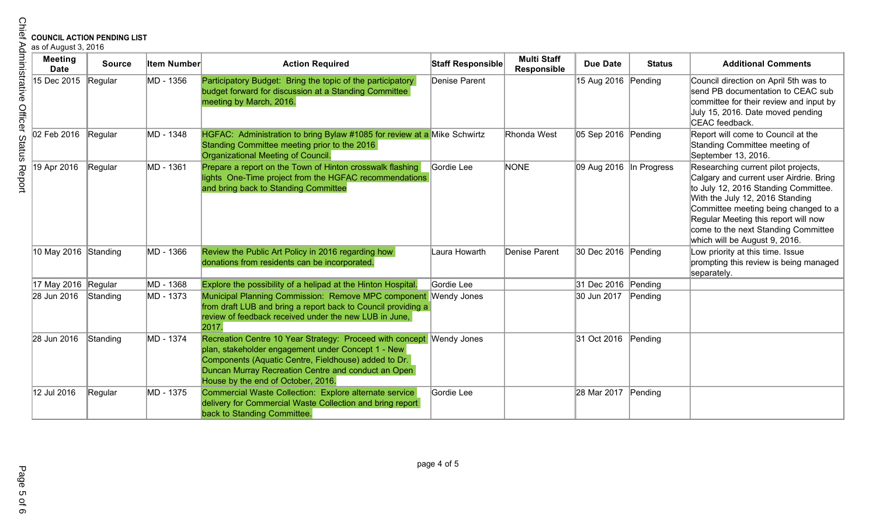| <b>COUNCIL ACTION PENDING LIST</b><br>as of August 3, 2016 |               |                    |                                                                                                                                                                                                                                                                                 |                   |                                   |                         |               |                                                                                                                                                                                                                                                                                                                   |  |
|------------------------------------------------------------|---------------|--------------------|---------------------------------------------------------------------------------------------------------------------------------------------------------------------------------------------------------------------------------------------------------------------------------|-------------------|-----------------------------------|-------------------------|---------------|-------------------------------------------------------------------------------------------------------------------------------------------------------------------------------------------------------------------------------------------------------------------------------------------------------------------|--|
| <b>Meeting</b><br><b>Date</b>                              | <b>Source</b> | <b>Item Number</b> | <b>Action Required</b>                                                                                                                                                                                                                                                          | Staff Responsible | <b>Multi Staff</b><br>Responsible | <b>Due Date</b>         | <b>Status</b> | <b>Additional Comments</b>                                                                                                                                                                                                                                                                                        |  |
| 15 Dec 2015                                                | Regular       | MD - 1356          | Participatory Budget: Bring the topic of the participatory<br>budget forward for discussion at a Standing Committee<br>meeting by March, 2016.                                                                                                                                  | Denise Parent     |                                   | 15 Aug 2016 Pending     |               | Council direction on April 5th was to<br>send PB documentation to CEAC sub<br>committee for their review and input by<br>July 15, 2016. Date moved pending<br>CEAC feedback.                                                                                                                                      |  |
| 02 Feb 2016                                                | Regular       | MD - 1348          | HGFAC: Administration to bring Bylaw #1085 for review at a Mike Schwirtz<br>Standing Committee meeting prior to the 2016<br>Organizational Meeting of Council.                                                                                                                  |                   | Rhonda West                       | 05 Sep 2016 Pending     |               | Report will come to Council at the<br>Standing Committee meeting of<br>September 13, 2016.                                                                                                                                                                                                                        |  |
| 19 Apr 2016                                                | Regular       | MD - 1361          | Prepare a report on the Town of Hinton crosswalk flashing<br>lights One-Time project from the HGFAC recommendations<br>and bring back to Standing Committee                                                                                                                     | Gordie Lee        | <b>NONE</b>                       | 09 Aug 2016 In Progress |               | Researching current pilot projects,<br>Calgary and current user Airdrie. Bring<br>to July 12, 2016 Standing Committee.<br>With the July 12, 2016 Standing<br>Committee meeting being changed to a<br>Regular Meeting this report will now<br>come to the next Standing Committee<br>which will be August 9, 2016. |  |
| 10 May 2016 Standing                                       |               | MD - 1366          | Review the Public Art Policy in 2016 regarding how<br>donations from residents can be incorporated.                                                                                                                                                                             | Laura Howarth     | Denise Parent                     | 30 Dec 2016 Pending     |               | Low priority at this time. Issue<br>prompting this review is being managed<br>separately.                                                                                                                                                                                                                         |  |
| 17 May 2016 Regular                                        |               | MD - 1368          | Explore the possibility of a helipad at the Hinton Hospital.                                                                                                                                                                                                                    | Gordie Lee        |                                   | 31 Dec 2016 Pending     |               |                                                                                                                                                                                                                                                                                                                   |  |
| 28 Jun 2016                                                | Standing      | MD - 1373          | Municipal Planning Commission: Remove MPC component Wendy Jones<br>from draft LUB and bring a report back to Council providing a<br>review of feedback received under the new LUB in June,<br>2017.                                                                             |                   |                                   | 30 Jun 2017             | Pending       |                                                                                                                                                                                                                                                                                                                   |  |
| 28 Jun 2016                                                | Standing      | MD - 1374          | Recreation Centre 10 Year Strategy: Proceed with concept Wendy Jones<br>plan, stakeholder engagement under Concept 1 - New<br>Components (Aquatic Centre, Fieldhouse) added to Dr.<br>Duncan Murray Recreation Centre and conduct an Open<br>House by the end of October, 2016. |                   |                                   | 31 Oct 2016             | Pending       |                                                                                                                                                                                                                                                                                                                   |  |
| 12 Jul 2016                                                | Regular       | MD - 1375          | Commercial Waste Collection: Explore alternate service<br>delivery for Commercial Waste Collection and bring report<br>back to Standing Committee.                                                                                                                              | Gordie Lee        |                                   | 28 Mar 2017             | Pending       |                                                                                                                                                                                                                                                                                                                   |  |